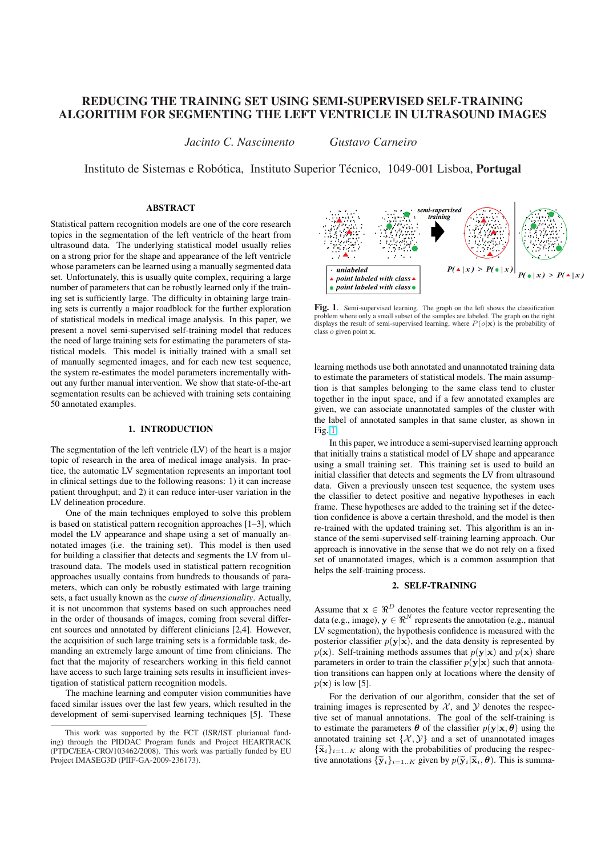# REDUCING THE TRAINING SET USING SEMI-SUPERVISED SELF-TRAINING ALGORITHM FOR SEGMENTING THE LEFT VENTRICLE IN ULTRASOUND IMAGES

*Jacinto C. Nascimento Gustavo Carneiro*

Instituto de Sistemas e Robótica, Instituto Superior Técnico, 1049-001 Lisboa, **Portugal** 

# ABSTRACT

Statistical pattern recognition models are one of the core research topics in the segmentation of the left ventricle of the heart from ultrasound data. The underlying statistical model usually relies on a strong prior for the shape and appearance of the left ventricle whose parameters can be learned using a manually segmented data set. Unfortunately, this is usually quite complex, requiring a large number of parameters that can be robustly learned only if the training set is sufficiently large. The difficulty in obtaining large training sets is currently a major roadblock for the further exploration of statistical models in medical image analysis. In this paper, we present a novel semi-supervised self-training model that reduces the need of large training sets for estimating the parameters of statistical models. This model is initially trained with a small set of manually segmented images, and for each new test sequence, the system re-estimates the model parameters incrementally without any further manual intervention. We show that state-of-the-art segmentation results can be achieved with training sets containing 50 annotated examples.

#### 1. INTRODUCTION

The segmentation of the left ventricle (LV) of the heart is a major topic of research in the area of medical image analysis. In practice, the automatic LV segmentation represents an important tool in clinical settings due to the following reasons: 1) it can increase patient throughput; and 2) it can reduce inter-user variation in the LV delineation procedure.

One of the main techniques employed to solve this problem is based on statistical pattern recognition approaches [1–3], which model the LV appearance and shape using a set of manually annotated images (i.e. the training set). This model is then used for building a classifier that detects and segments the LV from ultrasound data. The models used in statistical pattern recognition approaches usually contains from hundreds to thousands of parameters, which can only be robustly estimated with large training sets, a fact usually known as the *curse of dimensionality*. Actually, it is not uncommon that systems based on such approaches need in the order of thousands of images, coming from several different sources and annotated by different clinicians [2,4]. However, the acquisition of such large training sets is a formidable task, demanding an extremely large amount of time from clinicians. The fact that the majority of researchers working in this field cannot have access to such large training sets results in insufficient investigation of statistical pattern recognition models.

The machine learning and computer vision communities have faced similar issues over the last few years, which resulted in the development of semi-supervised learning techniques [5]. These



Fig. 1. Semi-supervised learning. The graph on the left shows the classification problem where only a small subset of the samples are labeled. The graph on the right displays the result of semi-supervised learning, where  $P(o|\mathbf{x})$  is the probability of class o given point x.

learning methods use both annotated and unannotated training data to estimate the parameters of statistical models. The main assumption is that samples belonging to the same class tend to cluster together in the input space, and if a few annotated examples are given, we can associate unannotated samples of the cluster with the label of annotated samples in that same cluster, as shown in Fig. 1.

In this paper, we introduce a semi-supervised learning approach that initially trains a statistical model of LV shape and appearance using a small training set. This training set is used to build an initial classifier that detects and segments the LV from ultrasound data. Given a previously unseen test sequence, the system uses the classifier to detect positive and negative hypotheses in each frame. These hypotheses are added to the training set if the detection confidence is above a certain threshold, and the model is then re-trained with the updated training set. This algorithm is an instance of the semi-supervised self-training learning approach. Our approach is innovative in the sense that we do not rely on a fixed set of unannotated images, which is a common assumption that helps the self-training process.

# 2. SELF-TRAINING

Assume that  $x \in \Re^D$  denotes the feature vector representing the data (e.g., image),  $y \in \mathbb{R}^N$  represents the annotation (e.g., manual LV segmentation), the hypothesis confidence is measured with the posterior classifier  $p(y|x)$ , and the data density is represented by  $p(x)$ . Self-training methods assumes that  $p(y|x)$  and  $p(x)$  share parameters in order to train the classifier  $p(y|x)$  such that annotation transitions can happen only at locations where the density of  $p(\mathbf{x})$  is low [5].

For the derivation of our algorithm, consider that the set of training images is represented by  $X$ , and  $Y$  denotes the respective set of manual annotations. The goal of the self-training is to estimate the parameters  $\theta$  of the classifier  $p(\mathbf{y}|\mathbf{x}, \theta)$  using the annotated training set  $\{X, Y\}$  and a set of unannotated images  ${\{\tilde{\mathbf{x}}_i\}_{i=1..K}}$  along with the probabilities of producing the respective annotations  $\{\widetilde{\mathbf{y}}_i\}_{i=1..K}$  given by  $p(\widetilde{\mathbf{y}}_i|\widetilde{\mathbf{x}}_i,\boldsymbol{\theta})$ . This is summa-

This work was supported by the FCT (ISR/IST plurianual funding) through the PIDDAC Program funds and Project HEARTRACK (PTDC/EEA-CRO/103462/2008). This work was partially funded by EU Project IMASEG3D (PIIF-GA-2009-236173).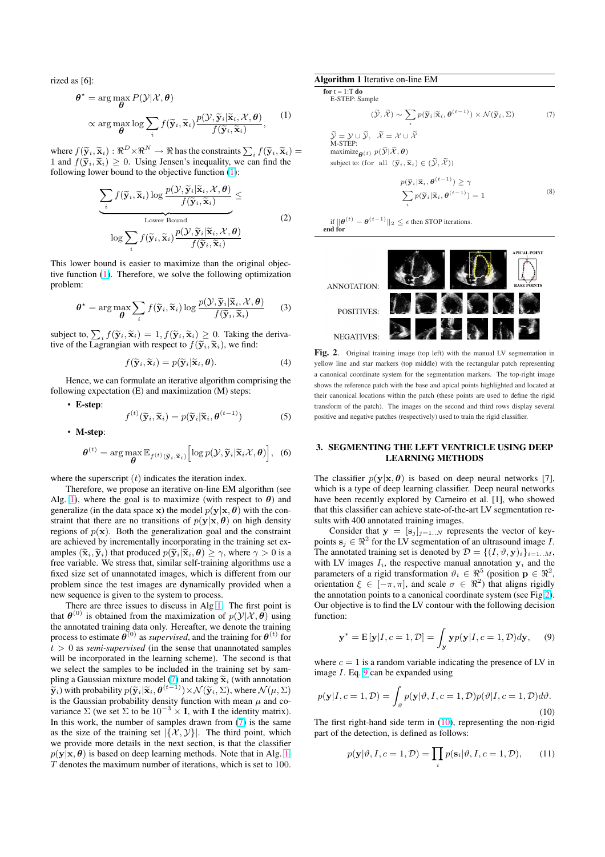<span id="page-1-0"></span>rized as [6]:

$$
\theta^* = \arg\max_{\theta} P(\mathcal{Y}|\mathcal{X}, \theta)
$$

$$
\propto \arg\max_{\theta} \log \sum_{i} f(\widetilde{\mathbf{y}}_i, \widetilde{\mathbf{x}}_i) \frac{p(\mathcal{Y}, \widetilde{\mathbf{y}}_i | \widetilde{\mathbf{x}}_i, \mathcal{X}, \theta)}{f(\widetilde{\mathbf{y}}_i, \widetilde{\mathbf{x}}_i)},
$$
(1)

where  $f(\tilde{\mathbf{y}}_i, \tilde{\mathbf{x}}_i) : \Re^D \times \Re^N \to \Re$  has the constraints  $\sum_i f(\tilde{\mathbf{y}}_i, \tilde{\mathbf{x}}_i) =$ 1 and  $f(\tilde{\mathbf{y}}_i, \tilde{\mathbf{x}}_i) \geq 0$ . Using Jensen's inequality, we can find the following lower bound to the objective function (1):

$$
\underbrace{\sum_{i} f(\widetilde{\mathbf{y}}_i, \widetilde{\mathbf{x}}_i) \log \frac{p(\mathcal{Y}, \widetilde{\mathbf{y}}_i | \widetilde{\mathbf{x}}_i, \mathcal{X}, \boldsymbol{\theta})}{f(\widetilde{\mathbf{y}}_i, \widetilde{\mathbf{x}}_i)}_{\text{Lower Bound}} \leq \frac{\text{Lower Bound}}{f(\widetilde{\mathbf{y}}_i, \widetilde{\mathbf{x}}_i) \frac{p(\mathcal{Y}, \widetilde{\mathbf{y}}_i | \widetilde{\mathbf{x}}_i, \mathcal{X}, \boldsymbol{\theta})}{f(\widetilde{\mathbf{y}}_i, \widetilde{\mathbf{x}}_i)} \tag{2}
$$

This lower bound is easier to maximize than the original objective function (1). Therefore, we solve the following optimization problem:

$$
\boldsymbol{\theta}^{\star} = \arg \max_{\boldsymbol{\theta}} \sum_{i} f(\widetilde{\mathbf{y}}_i, \widetilde{\mathbf{x}}_i) \log \frac{p(\mathcal{Y}, \widetilde{\mathbf{y}}_i | \widetilde{\mathbf{x}}_i, \mathcal{X}, \boldsymbol{\theta})}{f(\widetilde{\mathbf{y}}_i, \widetilde{\mathbf{x}}_i)}
$$
(3)

subject to,  $\sum_i f(\tilde{\mathbf{y}}_i, \tilde{\mathbf{x}}_i) = 1, f(\tilde{\mathbf{y}}_i, \tilde{\mathbf{x}}_i) \geq 0$ . Taking the derivative of the Lagrangian with respect to  $f(\tilde{\mathbf{y}}_i, \tilde{\mathbf{x}}_i)$ , we find:

$$
f(\widetilde{\mathbf{y}}_i, \widetilde{\mathbf{x}}_i) = p(\widetilde{\mathbf{y}}_i | \widetilde{\mathbf{x}}_i, \boldsymbol{\theta}). \tag{4}
$$

Hence, we can formulate an iterative algorithm comprising the following expectation (E) and maximization (M) steps:

• E-step:

$$
f^{(t)}(\widetilde{\mathbf{y}}_i, \widetilde{\mathbf{x}}_i) = p(\widetilde{\mathbf{y}}_i | \widetilde{\mathbf{x}}_i, \boldsymbol{\theta}^{(t-1)})
$$
(5)

• M-step:

$$
\boldsymbol{\theta}^{(t)} = \arg \max_{\boldsymbol{\theta}} \mathbb{E}_{f^{(t)}(\tilde{\mathbf{y}}_i, \tilde{\mathbf{x}}_i)} \left[ \log p(\mathcal{Y}, \tilde{\mathbf{y}}_i | \tilde{\mathbf{x}}_i \mathcal{X}, \boldsymbol{\theta}) \right], \tag{6}
$$

where the superscript  $(t)$  indicates the iteration index.

Therefore, we propose an iterative on-line EM algorithm (see Alg. 1), where the goal is to maximize (with respect to  $\theta$ ) and generalize (in the data space x) the model  $p(y|x, \theta)$  with the constraint that there are no transitions of  $p(y|x, \theta)$  on high density regions of  $p(x)$ . Both the generalization goal and the constraint are achieved by incrementally incorporating in the training set examples  $(\widetilde{\mathbf{x}}_i, \widetilde{\mathbf{y}}_i)$  that produced  $p(\widetilde{\mathbf{y}}_i|\widetilde{\mathbf{x}}_i, \boldsymbol{\theta}) \geq \gamma$ , where  $\gamma > 0$  is a free variable. We stress that, similar self-training algorithms use a fixed size set of unannotated images, which is different from our problem since the test images are dynamically provided when a new sequence is given to the system to process.

There are three issues to discuss in Alg 1. The first point is that  $\theta^{(0)}$  is obtained from the maximization of  $p(\mathcal{Y}|\mathcal{X}, \theta)$  using the annotated training data only. Hereafter, we denote the training process to estimate  $\theta^{(0)}$  as *supervised*, and the training for  $\theta^{(t)}$  for  $t > 0$  as *semi-supervised* (in the sense that unannotated samples will be incorporated in the learning scheme). The second is that we select the samples to be included in the training set by sampling a Gaussian mixture model (7) and taking  $\widetilde{\mathbf{x}}_i$  (with annotation  $(\widetilde{\mathbf{y}}_i)$  with probability  $p(\widetilde{\mathbf{y}}_i|\widetilde{\mathbf{x}}_i,\boldsymbol{\theta}^{(t-1)})\!\times\!\mathcal{N}(\widetilde{\mathbf{y}}_i,\Sigma),$  where  $\mathcal{N}(\mu,\Sigma)$ is the Gaussian probability density function with mean  $\mu$  and covariance  $\Sigma$  (we set  $\Sigma$  to be  $10^{-3} \times I$ , with I the identity matrix). In this work, the number of samples drawn from  $(7)$  is the same as the size of the training set  $|\{\mathcal{X}, \mathcal{Y}\}|$ . The third point, which we provide more details in the next section, is that the classifier  $p(\mathbf{y}|\mathbf{x}, \theta)$  is based on deep learning methods. Note that in Alg. 1, T denotes the maximum number of iterations, which is set to 100.

#### Algorithm 1 Iterative on-line EM

for  $t = 1:T$  do E-STEP: Sample

$$
(\widetilde{\mathcal{Y}}, \widetilde{\mathcal{X}}) \sim \sum_{i} p(\widetilde{\mathbf{y}}_i | \widetilde{\mathbf{x}}_i, \boldsymbol{\theta}^{(t-1)}) \times \mathcal{N}(\widetilde{\mathbf{y}}_i, \Sigma) \tag{7}
$$

$$
\begin{aligned}\n\widetilde{\mathcal{Y}} &= \mathcal{Y} \cup \widetilde{\mathcal{Y}}, \quad \widetilde{\mathcal{X}} = \mathcal{X} \cup \widetilde{\mathcal{X}} \\
\text{M-STEP:} \\
\text{maximize} &\boldsymbol{\theta}(\mathcal{Y}) \ p(\widetilde{\mathcal{Y}} | \widetilde{\mathcal{X}}, \boldsymbol{\theta}) \\
\text{subject to: (for all } (\widetilde{\mathbf{y}}_i, \widetilde{\mathbf{x}}_i) \in (\widetilde{\mathcal{Y}}, \widetilde{\mathcal{X}}))\n\end{aligned}
$$

$$
p(\widetilde{\mathbf{y}}_i|\widetilde{\mathbf{x}}_i, \boldsymbol{\theta}^{(t-1)}) \ge \gamma
$$
  

$$
\sum_i p(\widetilde{\mathbf{y}}_i|\widetilde{\mathbf{x}}_i, \boldsymbol{\theta}^{(t-1)}) = 1
$$
 (8)

if  $\|\boldsymbol{\theta}^{(t)} - \boldsymbol{\theta}^{(t-1)}\|_2 \leq \epsilon$  then STOP iterations. end for



Fig. 2. Original training image (top left) with the manual LV segmentation in yellow line and star markers (top middle) with the rectangular patch representing a canonical coordinate system for the segmentation markers. The top-right image shows the reference patch with the base and apical points highlighted and located at their canonical locations within the patch (these points are used to define the rigid transform of the patch). The images on the second and third rows display several positive and negative patches (respectively) used to train the rigid classifier.

# 3. SEGMENTING THE LEFT VENTRICLE USING DEEP LEARNING METHODS

The classifier  $p(\mathbf{y}|\mathbf{x}, \theta)$  is based on deep neural networks [7], which is a type of deep learning classifier. Deep neural networks have been recently explored by Carneiro et al. [1], who showed that this classifier can achieve state-of-the-art LV segmentation results with 400 annotated training images.

Consider that  $y = [s_j]_{j=1..N}$  represents the vector of keypoints  $s_j \in \mathbb{R}^2$  for the LV segmentation of an ultrasound image I. The annotated training set is denoted by  $\mathcal{D} = \{(I, \vartheta, \mathbf{y})_i\}_{i=1..M}$ , with LV images  $I_i$ , the respective manual annotation  $y_i$  and the parameters of a rigid transformation  $\vartheta_i \in \Re^5$  (position  $\mathbf{p} \in \Re^2$ , orientation  $\xi \in [-\pi, \pi]$ , and scale  $\sigma \in \Re^2$ ) that aligns rigidly the annotation points to a canonical coordinate system (see Fig.2). Our objective is to find the LV contour with the following decision function:

$$
\mathbf{y}^* = \mathbf{E}\left[\mathbf{y}|I, c=1, \mathcal{D}\right] = \int_{\mathbf{y}} \mathbf{y} p(\mathbf{y}|I, c=1, \mathcal{D}) d\mathbf{y}, \quad (9)
$$

where  $c = 1$  is a random variable indicating the presence of LV in image  $I$ . Eq. 9 can be expanded using

$$
p(\mathbf{y}|I, c=1, \mathcal{D}) = \int_{\vartheta} p(\mathbf{y}|\vartheta, I, c=1, \mathcal{D}) p(\vartheta | I, c=1, \mathcal{D}) d\vartheta.
$$
\n(10)

The first right-hand side term in (10), representing the non-rigid part of the detection, is defined as follows:

$$
p(\mathbf{y}|\vartheta, I, c = 1, \mathcal{D}) = \prod_{i} p(\mathbf{s}_i|\vartheta, I, c = 1, \mathcal{D}), \qquad (11)
$$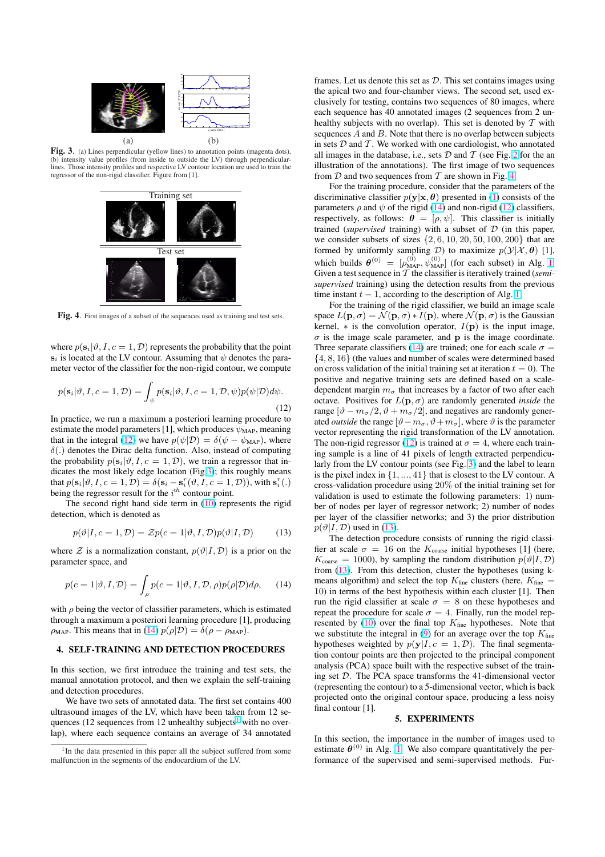<span id="page-2-0"></span>

Fig. 3. (a) Lines perpendicular (yellow lines) to annotation points (magenta dots), (b) intensity value profiles (from inside to outside the LV) through perpendicularlines. Those intensity profiles and respective LV contour location are used to train the regressor of the non-rigid classifier. Figure from [1].



Fig. 4. First images of a subset of the sequences used as training and test sets.

where  $p(\mathbf{s}_i|\vartheta, I, c = 1, \mathcal{D})$  represents the probability that the point  $s_i$  is located at the LV contour. Assuming that  $\psi$  denotes the parameter vector of the classifier for the non-rigid contour, we compute

$$
p(\mathbf{s}_i|\vartheta, I, c = 1, \mathcal{D}) = \int_{\psi} p(\mathbf{s}_i|\vartheta, I, c = 1, \mathcal{D}, \psi) p(\psi|\mathcal{D}) d\psi.
$$
\n(12)

In practice, we run a maximum a posteriori learning procedure to estimate the model parameters [1], which produces  $\psi_{\text{MAP}}$ , meaning that in the integral (12) we have  $p(\psi|\mathcal{D}) = \delta(\psi - \psi_{MAP})$ , where  $\delta(.)$  denotes the Dirac delta function. Also, instead of computing the probability  $p(\mathbf{s}_i|\vartheta, I, c = 1, \mathcal{D})$ , we train a regressor that indicates the most likely edge location (Fig.3); this roughly means that  $p(\mathbf{s}_i|\vartheta, I, c = 1, \mathcal{D}) = \delta(\mathbf{s}_i - \mathbf{s}_i^r(\vartheta, I, c = 1, \mathcal{D}))$ , with  $\mathbf{s}_i^r(.)$ being the regressor result for the  $i^{th}$  contour point.

The second right hand side term in  $(10)$  represents the rigid detection, which is denoted as

$$
p(\vartheta | I, c = 1, \mathcal{D}) = \mathcal{Z}p(c = 1 | \vartheta, I, \mathcal{D})p(\vartheta | I, \mathcal{D})
$$
(13)

where  $\mathcal Z$  is a normalization constant,  $p(\vartheta | I, \mathcal D)$  $p(\vartheta | I, \mathcal D)$  $p(\vartheta | I, \mathcal D)$  is a prior on the parameter space, and

$$
p(c=1|\vartheta, I, \mathcal{D}) = \int_{\rho} p(c=1|\vartheta, I, \mathcal{D}, \rho) p(\rho|\mathcal{D}) d\rho, \qquad (14)
$$

with  $\rho$  being the vector of classifier parameters, which is estimated through a maximum a posteriori learning procedure [1], producing  $\rho_{MAP}$ . This means that in (14)  $p(\rho|\mathcal{D}) = \delta(\rho - \rho_{MAP})$ .

## 4. SELF-TRAINING AND DETECTION PROCEDURES

In this section, we first introduce the training and test sets, the manual annotation protocol, and then we explain the self-training and detection procedures.

We have two sets of annotated data. The first set contains 400 ultrasound images of the LV, which have been taken from 12 sequences (12 sequences from 12 unhealthy subjects<sup>1</sup> with no overlap), where each sequence contains an average of 34 annotated frames. Let us denote this set as  $D$ . This set contains images using the apical two and four-chamber views. The second set, used exclusively for testing, contains two sequences of 80 images, where each sequence has 40 annotated images (2 sequences from 2 unhealthy subjects with no overlap). This set is denoted by  $T$  with sequences  $A$  and  $B$ . Note that there is no overlap between subjects in sets  $D$  and  $T$ . We worked with one cardiologist, who annotated all images in the database, i.e., sets  $D$  and  $T$  (see Fig. 2 for the an illustration of the annotations). The first image of two sequences from  $D$  and two sequences from  $T$  are shown in Fig. 4.

For the training procedure, consider that the parameters of the discriminative classifier  $p(y|x, \theta)$  presented in (1) consists of the parameters  $\rho$  and  $\psi$  of the rigid (14) and non-rigid (12[\) c](#page-1-0)lassifiers, respectively, as follows:  $\theta = [\rho, \psi]$ . This classifier is initially trained (*supervised* training) with a subset of D (in this paper, we consider subsets of sizes  $\{2, 6, 10, 20, 50, 100, 200\}$  that are formed by uniformly sampling  $D$ ) to maximi[ze](#page-1-0)  $p(\mathcal{Y}|\mathcal{X}, \theta)$  [1], which builds  $\theta^{(0)} = [\rho_{MAP}^{(0)}, \psi_{MAP}^{(0)}]$  (for each subset) in Alg. 1. Given a test sequence in T the classifier is iteratively trained (*semisupervised* training) using the detection results from the previous time instant  $t - 1$ , according to the description of Alg. 1.

For the training of the rigid classifier, we build an image scale space  $L(\mathbf{p}, \sigma) = \mathcal{N}(\mathbf{p}, \sigma) * I(\mathbf{p})$ , where  $\mathcal{N}(\mathbf{p}, \sigma)$  is the Gaussian kernel,  $*$  is the convolution operator,  $I(\mathbf{p})$  is the input image,  $\sigma$  is the image scale parameter, and **p** is the image coordinate. Three separate classifiers (14) are trained; one for each scale  $\sigma =$ {4, 8, 16} (the values and number of scales were determined based on cross validation of the initial training set at iteration  $t = 0$ ). The positive and negative training sets are defined based on a scaledependent margin  $m_{\sigma}$  that increases by a factor of two after each octave. Positives for  $L(\mathbf{p}, \sigma)$  are randomly generated *inside* the range  $[\vartheta - m_{\sigma}/2, \vartheta + m_{\sigma}/2]$ , and negatives are randomly generated *outside* the range  $[\vartheta - m_{\sigma}, \vartheta + m_{\sigma}]$ , where  $\vartheta$  is the parameter vector representing the rigid transformation of the LV annotation. The non-rigid regressor (12) is trained at  $\sigma = 4$ , where each training sample is a line of 41 pixels of length extracted perpendicularly from the LV contour points (see Fig. 3) and the label to learn is the pixel index in  $\{1, ..., 41\}$  that is closest to the LV contour. A cross-validation procedure using 20% of the initial training set for validation is used to estimate the following parameters: 1) number of nodes per layer of regressor network; 2) number of nodes per layer of the classifier networks; and 3) the prior distribution  $p(\vartheta | I, \mathcal{D})$  used in (13).

The detection procedure consists of running the rigid classifier at scale  $\sigma = 16$  on the  $K_{\text{coarse}}$  initial hypotheses [1] (here,  $K_{\text{coarse}} = 1000$ , by sampling the random distribution  $p(\vartheta | I, \mathcal{D})$ from (13). From this detection, cluster the hypotheses (using kmeans algorithm) and select the top  $K_{\text{fine}}$  clusters (here,  $K_{\text{fine}} =$ 10) in terms of the best hypothesis within each cluster [1]. Then run the rigid classifier at scale  $\sigma = 8$  on these hypotheses and repeat the procedure for scale  $\sigma = 4$ . Finally, run the model represented by  $(10)$  over the final top  $K_{\text{fine}}$  hypotheses. Note that we substitute the integral in (9) for an average over the top  $K_{\text{fine}}$ hypotheses weighted by  $p(y|I, c = 1, \mathcal{D})$ . The final segmentation contour points are then projected to the principal component analysis (PCA) space built with the respective subset of the training set D. T[he P](#page-1-0)CA space transforms the 41-dimensional vector (representing the contour) to [a 5](#page-1-0)-dimensional vector, which is back projected onto the original contour space, producing a less noisy final contour [1].

#### 5. EXPERIMENTS

In this section, the importance in the number of images used to estimate  $\theta^{(0)}$  in Alg. 1. We also compare quantitatively the performance of the supervised and semi-supervised methods. Fur-

<sup>&</sup>lt;sup>1</sup>In the data presented in this paper all the subject suffered from some malfunction in the segments of the endocardium of the LV.